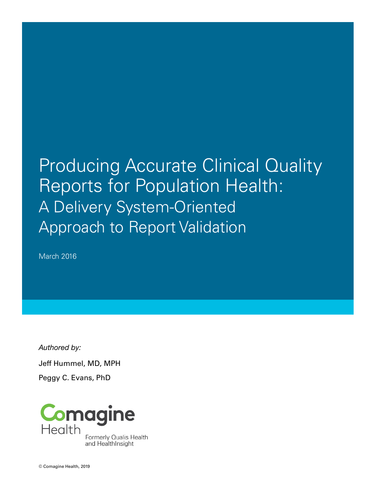# Producing Accurate Clinical Quality Reports for Population Health: A Delivery System-Oriented Approach to Report Validation

March 2016

*Authored by:* Jeff Hummel, MD, MPH Peggy C. Evans, PhD

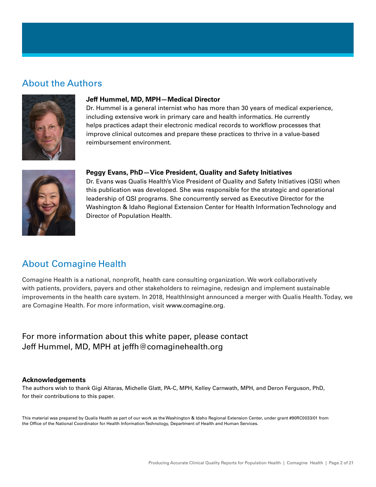# About the Authors



#### **Jeff Hummel, MD, MPH—Medical Director**

Dr. Hummel is a general internist who has more than 30 years of medical experience, including extensive work in primary care and health informatics. He currently helps practices adapt their electronic medical records to workflow processes that improve clinical outcomes and prepare these practices to thrive in a value-based reimbursement environment.



#### **Peggy Evans, PhD—Vice President, Quality and Safety Initiatives**

Dr. Evans was Qualis Health's Vice President of Quality and Safety Initiatives (QSI) when this publication was developed. She was responsible for the strategic and operational leadership of QSI programs. She concurrently served as Executive Director for the Washington & Idaho Regional Extension Center for Health Information Technology and Director of Population Health.

## About Comagine Health

Comagine Health is a national, nonprofit, health care consulting organization. We work collaboratively with patients, providers, payers and other stakeholders to reimagine, redesign and implement sustainable improvements in the health care system. In 2018, HealthInsight announced a merger with Qualis Health. Today, we are Comagine Health. For more information, visit [www.comagine.org.](http://www.QualisHealth.org.)

For more information about this white paper, please contact Jeff Hummel, MD, MPH at [jeffh@comaginehealth.org](mailto:jeffh@qualishealth.org)

#### **Acknowledgements**

The authors wish to thank Gigi Altaras, Michelle Glatt, PA-C, MPH, Kelley Carnwath, MPH, and Deron Ferguson, PhD, for their contributions to this paper.

This material was prepared by Qualis Health as part of our work as the Washington & Idaho Regional Extension Center, under grant #90RC0033/01 from the Office of the National Coordinator for Health Information Technology, Department of Health and Human Services.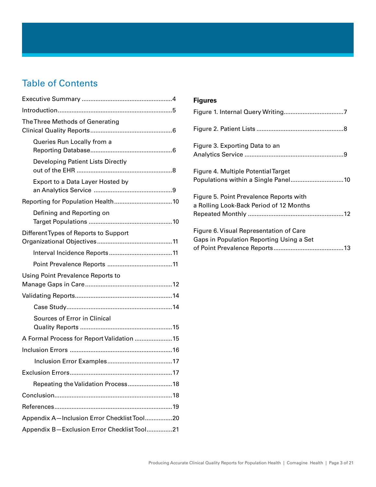# Table of Contents

| The Three Methods of Generating             |  |  |  |  |
|---------------------------------------------|--|--|--|--|
| Queries Run Locally from a                  |  |  |  |  |
| Developing Patient Lists Directly           |  |  |  |  |
| Export to a Data Layer Hosted by            |  |  |  |  |
|                                             |  |  |  |  |
| Defining and Reporting on                   |  |  |  |  |
| Different Types of Reports to Support       |  |  |  |  |
|                                             |  |  |  |  |
|                                             |  |  |  |  |
| Using Point Prevalence Reports to           |  |  |  |  |
|                                             |  |  |  |  |
|                                             |  |  |  |  |
| Sources of Error in Clinical                |  |  |  |  |
| A Formal Process for Report Validation 15   |  |  |  |  |
|                                             |  |  |  |  |
|                                             |  |  |  |  |
|                                             |  |  |  |  |
| Repeating the Validation Process 18         |  |  |  |  |
|                                             |  |  |  |  |
|                                             |  |  |  |  |
| Appendix A-Inclusion Error Checklist Tool20 |  |  |  |  |
| Appendix B-Exclusion Error Checklist Tool21 |  |  |  |  |

# **Figures**

| Figure 3. Exporting Data to an                                                      |
|-------------------------------------------------------------------------------------|
| Figure 4. Multiple Potential Target                                                 |
| Figure 5. Point Prevalence Reports with<br>a Rolling Look-Back Period of 12 Months  |
| Figure 6. Visual Representation of Care<br>Gaps in Population Reporting Using a Set |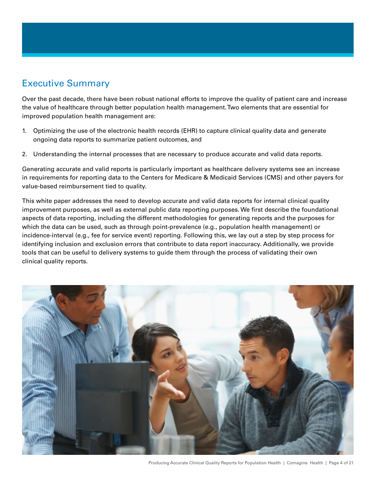# <span id="page-3-0"></span>Executive Summary

Over the past decade, there have been robust national efforts to improve the quality of patient care and increase the value of healthcare through better population health management. Two elements that are essential for improved population health management are:

- 1. Optimizing the use of the electronic health records (EHR) to capture clinical quality data and generate ongoing data reports to summarize patient outcomes, and
- 2. Understanding the internal processes that are necessary to produce accurate and valid data reports.

Generating accurate and valid reports is particularly important as healthcare delivery systems see an increase in requirements for reporting data to the Centers for Medicare & Medicaid Services (CMS) and other payers for value-based reimbursement tied to quality.

This white paper addresses the need to develop accurate and valid data reports for internal clinical quality improvement purposes, as well as external public data reporting purposes. We first describe the foundational aspects of data reporting, including the different methodologies for generating reports and the purposes for which the data can be used, such as through point-prevalence (e.g., population health management) or incidence-interval (e.g., fee for service event) reporting. Following this, we lay out a step by step process for identifying inclusion and exclusion errors that contribute to data report inaccuracy. Additionally, we provide tools that can be useful to delivery systems to guide them through the process of validating their own clinical quality reports.



Producing Accurate Clinical Quality Reports for Population Health | Comagine Health | Page 4 of 21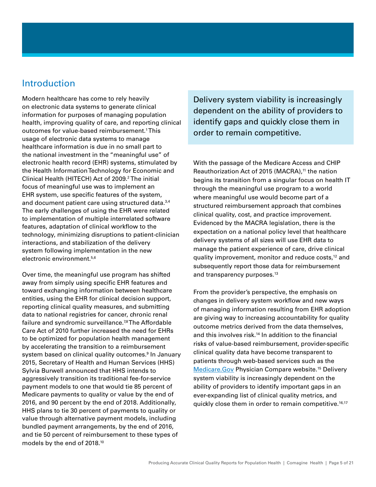# <span id="page-4-0"></span>Introduction

Modern healthcare has come to rely heavily on electronic data systems to generate clinical information for purposes of managing population health, improving quality of care, and reporting clinical outcomes for value-based reimbursement.<sup>1</sup>This usage of electronic data systems to manage healthcare information is due in no small part to the national investment in the "meaningful use" of electronic health record (EHR) systems, stimulated by the Health Information Technology for Economic and Clinical Health (HITECH) Act of 2009.<sup>2</sup> The initial focus of meaningful use was to implement an EHR system, use specific features of the system, and document patient care using structured data.<sup>3,4</sup> The early challenges of using the EHR were related to implementation of multiple interrelated software features, adaptation of clinical workflow to the technology, minimizing disruptions to patient-clinician interactions, and stabilization of the delivery system following implementation in the new electronic environment.5,6

Over time, the meaningful use program has shifted away from simply using specific EHR features and toward exchanging information between healthcare entities, using the EHR for clinical decision support, reporting clinical quality measures, and submitting data to national registries for cancer, chronic renal failure and syndromic surveillance.<sup>78</sup> The Affordable Care Act of 2010 further increased the need for EHRs to be optimized for population health management by accelerating the transition to a reimbursement system based on clinical quality outcomes.<sup>9</sup> In January 2015, Secretary of Health and Human Services (HHS) Sylvia Burwell announced that HHS intends to aggressively transition its traditional fee-for-service payment models to one that would tie 85 percent of Medicare payments to quality or value by the end of 2016, and 90 percent by the end of 2018. Additionally, HHS plans to tie 30 percent of payments to quality or value through alternative payment models, including bundled payment arrangements, by the end of 2016, and tie 50 percent of reimbursement to these types of models by the end of 2018.10

Delivery system viability is increasingly dependent on the ability of providers to identify gaps and quickly close them in order to remain competitive.

With the passage of the Medicare Access and CHIP Reauthorization Act of 2015 (MACRA),<sup>11</sup> the nation begins its transition from a singular focus on health IT through the meaningful use program to a world where meaningful use would become part of a structured reimbursement approach that combines clinical quality, cost, and practice improvement. Evidenced by the MACRA legislation, there is the expectation on a national policy level that healthcare delivery systems of all sizes will use EHR data to manage the patient experience of care, drive clinical quality improvement, monitor and reduce costs,12 and subsequently report those data for reimbursement and transparency purposes.<sup>13</sup>

From the provider's perspective, the emphasis on changes in delivery system workflow and new ways of managing information resulting from EHR adoption are giving way to increasing accountability for quality outcome metrics derived from the data themselves, and this involves risk.<sup>14</sup> In addition to the financial risks of value-based reimbursement, provider-specific clinical quality data have become transparent to patients through web-based services such as the Medicare.Gov Physician Compare website.<sup>15</sup> Delivery system viability is increasingly dependent on the ability of providers to identify important gaps in an ever-expanding list of clinical quality metrics, and quickly close them in order to remain competitive.<sup>16,17</sup>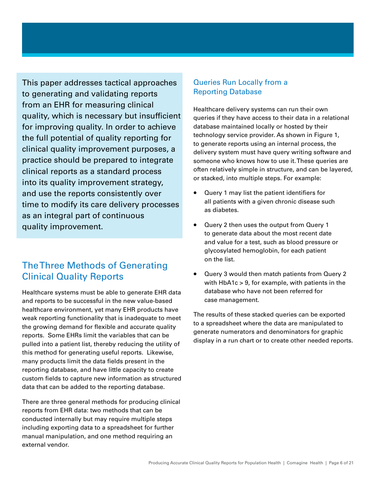<span id="page-5-0"></span>This paper addresses tactical approaches to generating and validating reports from an EHR for measuring clinical quality, which is necessary but insufficient for improving quality. In order to achieve the full potential of quality reporting for clinical quality improvement purposes, a practice should be prepared to integrate clinical reports as a standard process into its quality improvement strategy, and use the reports consistently over time to modify its care delivery processes as an integral part of continuous quality improvement.

# The Three Methods of Generating Clinical Quality Reports

Healthcare systems must be able to generate EHR data and reports to be successful in the new value-based healthcare environment, yet many EHR products have weak reporting functionality that is inadequate to meet the growing demand for flexible and accurate quality reports. Some EHRs limit the variables that can be pulled into a patient list, thereby reducing the utility of this method for generating useful reports. Likewise, many products limit the data fields present in the reporting database, and have little capacity to create custom fields to capture new information as structured data that can be added to the reporting database.

There are three general methods for producing clinical reports from EHR data: two methods that can be conducted internally but may require multiple steps including exporting data to a spreadsheet for further manual manipulation, and one method requiring an external vendor.

### Queries Run Locally from a Reporting Database

Healthcare delivery systems can run their own queries if they have access to their data in a relational database maintained locally or hosted by their technology service provider. As shown in Figure 1, to generate reports using an internal process, the delivery system must have query writing software and someone who knows how to use it. These queries are often relatively simple in structure, and can be layered, or stacked, into multiple steps. For example:

- Query 1 may list the patient identifiers for all patients with a given chronic disease such as diabetes.
- • Query 2 then uses the output from Query 1 to generate data about the most recent date and value for a test, such as blood pressure or glycosylated hemoglobin, for each patient on the list.
- Query 3 would then match patients from Query 2 with HbA1c > 9, for example, with patients in the database who have not been referred for case management.

The results of these stacked queries can be exported to a spreadsheet where the data are manipulated to generate numerators and denominators for graphic display in a run chart or to create other needed reports.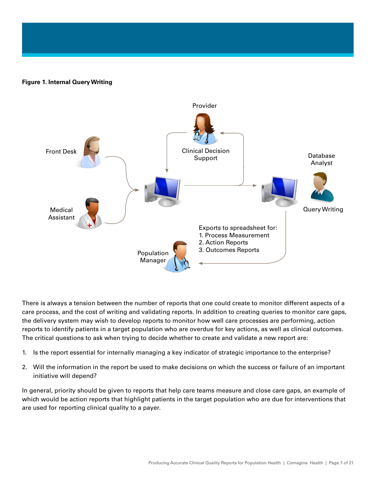#### <span id="page-6-0"></span>**Figure 1. Internal Query Writing**



There is always a tension between the number of reports that one could create to monitor different aspects of a care process, and the cost of writing and validating reports. In addition to creating queries to monitor care gaps, the delivery system may wish to develop reports to monitor how well care processes are performing, action reports to identify patients in a target population who are overdue for key actions, as well as clinical outcomes. The critical questions to ask when trying to decide whether to create and validate a new report are:

- 1. Is the report essential for internally managing a key indicator of strategic importance to the enterprise?
- 2. Will the information in the report be used to make decisions on which the success or failure of an important initiative will depend?

In general, priority should be given to reports that help care teams measure and close care gaps, an example of which would be action reports that highlight patients in the target population who are due for interventions that are used for reporting clinical quality to a payer.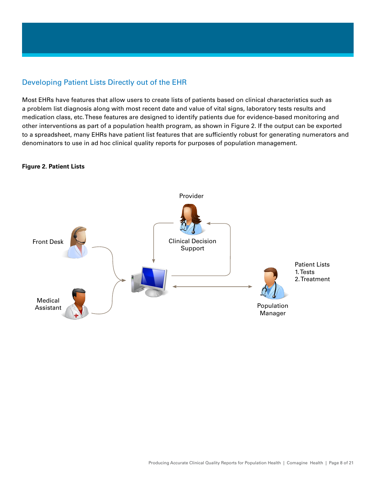### <span id="page-7-0"></span>Developing Patient Lists Directly out of the EHR

Most EHRs have features that allow users to create lists of patients based on clinical characteristics such as a problem list diagnosis along with most recent date and value of vital signs, laboratory tests results and medication class, etc. These features are designed to identify patients due for evidence-based monitoring and other interventions as part of a population health program, as shown in Figure 2. If the output can be exported to a spreadsheet, many EHRs have patient list features that are sufficiently robust for generating numerators and denominators to use in ad hoc clinical quality reports for purposes of population management.

#### **Figure 2. Patient Lists**

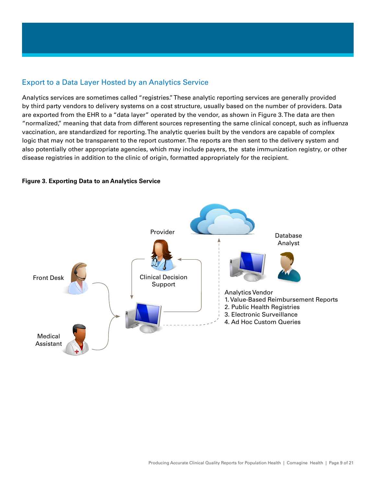### <span id="page-8-0"></span>Export to a Data Layer Hosted by an Analytics Service

Analytics services are sometimes called "registries." These analytic reporting services are generally provided by third party vendors to delivery systems on a cost structure, usually based on the number of providers. Data are exported from the EHR to a "data layer" operated by the vendor, as shown in Figure 3. The data are then "normalized," meaning that data from different sources representing the same clinical concept, such as influenza vaccination, are standardized for reporting. The analytic queries built by the vendors are capable of complex logic that may not be transparent to the report customer. The reports are then sent to the delivery system and also potentially other appropriate agencies, which may include payers, the state immunization registry, or other disease registries in addition to the clinic of origin, formatted appropriately for the recipient.



#### **Figure 3. Exporting Data to an Analytics Service**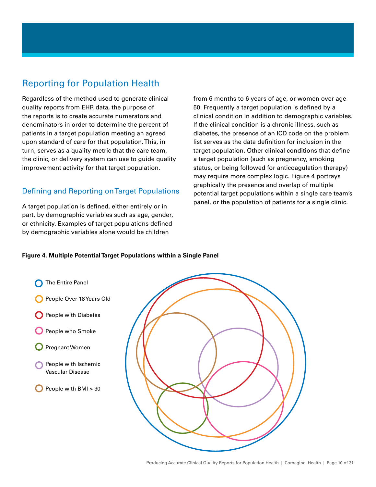# <span id="page-9-0"></span>Reporting for Population Health

Regardless of the method used to generate clinical quality reports from EHR data, the purpose of the reports is to create accurate numerators and denominators in order to determine the percent of patients in a target population meeting an agreed upon standard of care for that population. This, in turn, serves as a quality metric that the care team, the clinic, or delivery system can use to guide quality improvement activity for that target population.

### Defining and Reporting on Target Populations

A target population is defined, either entirely or in part, by demographic variables such as age, gender, or ethnicity. Examples of target populations defined by demographic variables alone would be children

from 6 months to 6 years of age, or women over age 50. Frequently a target population is defined by a clinical condition in addition to demographic variables. If the clinical condition is a chronic illness, such as diabetes, the presence of an ICD code on the problem list serves as the data definition for inclusion in the target population. Other clinical conditions that define a target population (such as pregnancy, smoking status, or being followed for anticoagulation therapy) may require more complex logic. Figure 4 portrays graphically the presence and overlap of multiple potential target populations within a single care team's panel, or the population of patients for a single clinic.

#### **Figure 4. Multiple Potential Target Populations within a Single Panel**

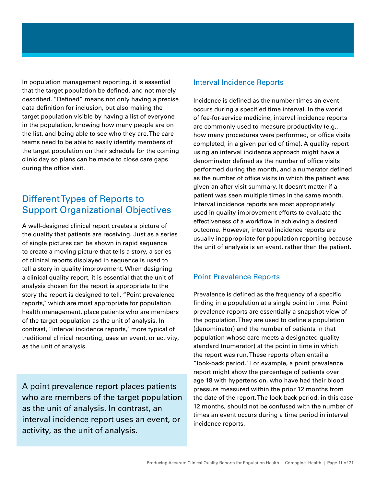<span id="page-10-0"></span>In population management reporting, it is essential that the target population be defined, and not merely described. "Defined" means not only having a precise data definition for inclusion, but also making the target population visible by having a list of everyone in the population, knowing how many people are on the list, and being able to see who they are. The care teams need to be able to easily identify members of the target population on their schedule for the coming clinic day so plans can be made to close care gaps during the office visit.

# Different Types of Reports to Support Organizational Objectives

A well-designed clinical report creates a picture of the quality that patients are receiving. Just as a series of single pictures can be shown in rapid sequence to create a moving picture that tells a story, a series of clinical reports displayed in sequence is used to tell a story in quality improvement. When designing a clinical quality report, it is essential that the unit of analysis chosen for the report is appropriate to the story the report is designed to tell. "Point prevalence reports," which are most appropriate for population health management, place patients who are members of the target population as the unit of analysis. In contrast, "interval incidence reports," more typical of traditional clinical reporting, uses an event, or activity, as the unit of analysis.

A point prevalence report places patients who are members of the target population as the unit of analysis. In contrast, an interval incidence report uses an event, or activity, as the unit of analysis.

#### Interval Incidence Reports

Incidence is defined as the number times an event occurs during a specified time interval. In the world of fee-for-service medicine, interval incidence reports are commonly used to measure productivity (e.g., how many procedures were performed, or office visits completed, in a given period of time). A quality report using an interval incidence approach might have a denominator defined as the number of office visits performed during the month, and a numerator defined as the number of office visits in which the patient was given an after-visit summary. It doesn't matter if a patient was seen multiple times in the same month. Interval incidence reports are most appropriately used in quality improvement efforts to evaluate the effectiveness of a workflow in achieving a desired outcome. However, interval incidence reports are usually inappropriate for population reporting because the unit of analysis is an event, rather than the patient.

### Point Prevalence Reports

Prevalence is defined as the frequency of a specific finding in a population at a single point in time. Point prevalence reports are essentially a snapshot view of the population. They are used to define a population (denominator) and the number of patients in that population whose care meets a designated quality standard (numerator) at the point in time in which the report was run. These reports often entail a "look-back period." For example, a point prevalence report might show the percentage of patients over age 18 with hypertension, who have had their blood pressure measured within the prior 12 months from the date of the report. The look-back period, in this case 12 months, should not be confused with the number of times an event occurs during a time period in interval incidence reports.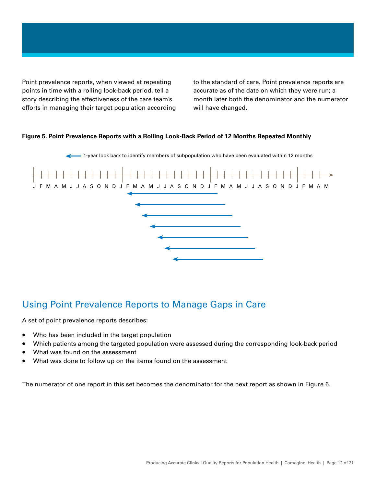<span id="page-11-0"></span>Point prevalence reports, when viewed at repeating points in time with a rolling look-back period, tell a story describing the effectiveness of the care team's efforts in managing their target population according to the standard of care. Point prevalence reports are accurate as of the date on which they were run; a month later both the denominator and the numerator will have changed.

#### **Figure 5. Point Prevalence Reports with a Rolling Look-Back Period of 12 Months Repeated Monthly**



# Using Point Prevalence Reports to Manage Gaps in Care

A set of point prevalence reports describes:

- Who has been included in the target population
- • Which patients among the targeted population were assessed during the corresponding look-back period
- What was found on the assessment
- What was done to follow up on the items found on the assessment

The numerator of one report in this set becomes the denominator for the next report as shown in Figure 6.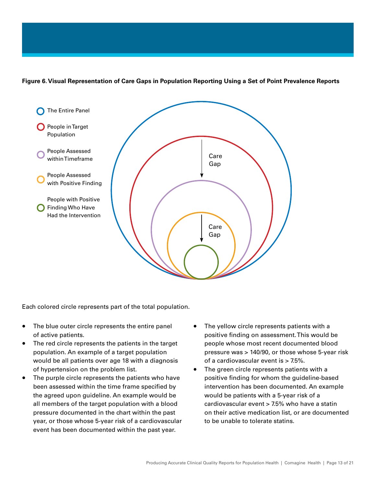#### <span id="page-12-0"></span>**Figure 6. Visual Representation of Care Gaps in Population Reporting Using a Set of Point Prevalence Reports**



Each colored circle represents part of the total population.

- The blue outer circle represents the entire panel of active patients.
- The red circle represents the patients in the target population. An example of a target population would be all patients over age 18 with a diagnosis of hypertension on the problem list.
- The purple circle represents the patients who have been assessed within the time frame specified by the agreed upon guideline. An example would be all members of the target population with a blood pressure documented in the chart within the past year, or those whose 5-year risk of a cardiovascular event has been documented within the past year.
- The yellow circle represents patients with a positive finding on assessment. This would be people whose most recent documented blood pressure was > 140/90, or those whose 5-year risk of a cardiovascular event is > 7.5%.
- The green circle represents patients with a positive finding for whom the guideline-based intervention has been documented. An example would be patients with a 5-year risk of a cardiovascular event > 7.5% who have a statin on their active medication list, or are documented to be unable to tolerate statins.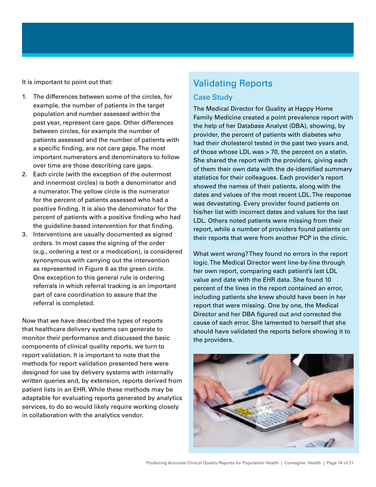<span id="page-13-0"></span>It is important to point out that:

- 1. The differences between some of the circles, for example, the number of patients in the target population and number assessed within the past year, represent care gaps. Other differences between circles, for example the number of patients assessed and the number of patients with a specific finding, are not care gaps. The most important numerators and denominators to follow over time are those describing care gaps.
- 2. Each circle (with the exception of the outermost and innermost circles) is both a denominator and a numerator. The yellow circle is the numerator for the percent of patients assessed who had a positive finding. It is also the denominator for the percent of patients with a positive finding who had the guideline-based intervention for that finding.
- 3. Interventions are usually documented as signed orders. In most cases the signing of the order (e.g., ordering a test or a medication), is considered synonymous with carrying out the intervention as represented in Figure 6 as the green circle. One exception to this general rule is ordering referrals in which referral tracking is an important part of care coordination to assure that the referral is completed.

Now that we have described the types of reports that healthcare delivery systems can generate to monitor their performance and discussed the basic components of clinical quality reports, we turn to report validation. It is important to note that the methods for report validation presented here were designed for use by delivery systems with internally written queries and, by extension, reports derived from patient lists in an EHR. While these methods may be adaptable for evaluating reports generated by analytics services, to do so would likely require working closely in collaboration with the analytics vendor.

# Validating Reports

### Case Study

The Medical Director for Quality at Happy Home Family Medicine created a point prevalence report with the help of her Database Analyst (DBA), showing, by provider, the percent of patients with diabetes who had their cholesterol tested in the past two years and, of those whose LDL was > 70, the percent on a statin. She shared the report with the providers, giving each of them their own data with the de-identified summary statistics for their colleagues. Each provider's report showed the names of their patients, along with the dates and values of the most recent LDL. The response was devastating. Every provider found patients on his/her list with incorrect dates and values for the last LDL. Others noted patients were missing from their report, while a number of providers found patients on their reports that were from another PCP in the clinic.

What went wrong? They found no errors in the report logic. The Medical Director went line-by-line through her own report, comparing each patient's last LDL value and date with the EHR data. She found 10 percent of the lines in the report contained an error, including patients she knew should have been in her report that were missing. One by one, the Medical Director and her DBA figured out and corrected the cause of each error. She lamented to herself that she should have validated the reports before showing it to the providers.



Producing Accurate Clinical Quality Reports for Population Health | Comagine Health | Page 14 of 21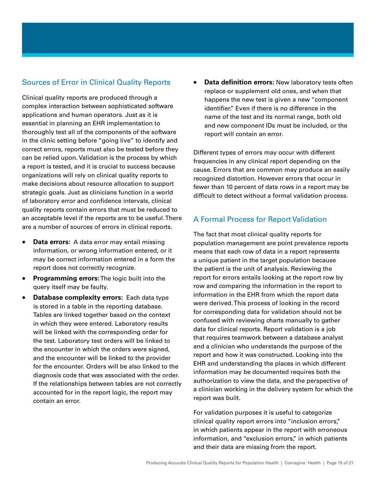### <span id="page-14-0"></span>Sources of Error in Clinical Quality Reports

Clinical quality reports are produced through a complex interaction between sophisticated software applications and human operators. Just as it is essential in planning an EHR implementation to thoroughly test all of the components of the software in the clinic setting before "going live" to identify and correct errors, reports must also be tested before they can be relied upon. Validation is the process by which a report is tested, and it is crucial to success because organizations will rely on clinical quality reports to make decisions about resource allocation to support strategic goals. Just as clinicians function in a world of laboratory error and confidence intervals, clinical quality reports contain errors that must be reduced to an acceptable level if the reports are to be useful. There are a number of sources of errors in clinical reports.

- **Data errors:** A data error may entail missing information, or wrong information entered, or it may be correct information entered in a form the report does not correctly recognize.
- • **Programming errors:** The logic built into the query itself may be faulty.
- • **Database complexity errors:** Each data type is stored in a table in the reporting database. Tables are linked together based on the context in which they were entered. Laboratory results will be linked with the corresponding order for the test. Laboratory test orders will be linked to the encounter in which the orders were signed, and the encounter will be linked to the provider for the encounter. Orders will be also linked to the diagnosis code that was associated with the order. If the relationships between tables are not correctly accounted for in the report logic, the report may contain an error.

**Data definition errors:** New laboratory tests often replace or supplement old ones, and when that happens the new test is given a new "component identifier." Even if there is no difference in the name of the test and its normal range, both old and new component IDs must be included, or the report will contain an error.

Different types of errors may occur with different frequencies in any clinical report depending on the cause. Errors that are common may produce an easily recognized distortion. However errors that occur in fewer than 10 percent of data rows in a report may be difficult to detect without a formal validation process.

### A Formal Process for Report Validation

The fact that most clinical quality reports for population management are point prevalence reports means that each row of data in a report represents a unique patient in the target population because the patient is the unit of analysis. Reviewing the report for errors entails looking at the report row by row and comparing the information in the report to information in the EHR from which the report data were derived. This process of looking in the record for corresponding data for validation should not be confused with reviewing charts manually to gather data for clinical reports. Report validation is a job that requires teamwork between a database analyst and a clinician who understands the purpose of the report and how it was constructed. Looking into the EHR and understanding the places in which different information may be documented requires both the authorization to view the data, and the perspective of a clinician working in the delivery system for which the report was built.

For validation purposes it is useful to categorize clinical quality report errors into "inclusion errors," in which patients appear in the report with erroneous information, and "exclusion errors," in which patients and their data are missing from the report.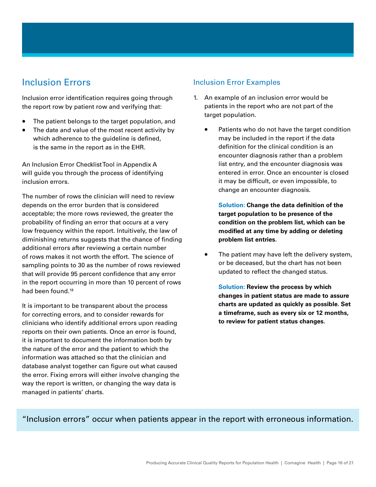# Inclusion Errors

Inclusion error identification requires going through the report row by patient row and verifying that:

- The patient belongs to the target population, and
- The date and value of the most recent activity by which adherence to the guideline is defined, is the same in the report as in the EHR.

An Inclusion Error Checklist Tool in Appendix A will guide you through the process of identifying inclusion errors.

The number of rows the clinician will need to review depends on the error burden that is considered acceptable; the more rows reviewed, the greater the probability of finding an error that occurs at a very low frequency within the report. Intuitively, the law of diminishing returns suggests that the chance of finding additional errors after reviewing a certain number of rows makes it not worth the effort. The science of sampling points to 30 as the number of rows reviewed that will provide 95 percent confidence that any error in the report occurring in more than 10 percent of rows had been found.<sup>18</sup>

It is important to be transparent about the process for correcting errors, and to consider rewards for clinicians who identify additional errors upon reading reports on their own patients. Once an error is found, it is important to document the information both by the nature of the error and the patient to which the information was attached so that the clinician and database analyst together can figure out what caused the error. Fixing errors will either involve changing the way the report is written, or changing the way data is managed in patients' charts.

### Inclusion Error Examples

- 1. An example of an inclusion error would be patients in the report who are not part of the target population.
	- Patients who do not have the target condition may be included in the report if the data definition for the clinical condition is an encounter diagnosis rather than a problem list entry, and the encounter diagnosis was entered in error. Once an encounter is closed it may be difficult, or even impossible, to change an encounter diagnosis.

**Solution: Change the data definition of the target population to be presence of the condition on the problem list, which can be modified at any time by adding or deleting problem list entries.** 

• The patient may have left the delivery system, or be deceased, but the chart has not been updated to reflect the changed status.

**Solution: Review the process by which changes in patient status are made to assure charts are updated as quickly as possible. Set a timeframe, such as every six or 12 months, to review for patient status changes.**

"Inclusion errors" occur when patients appear in the report with erroneous information.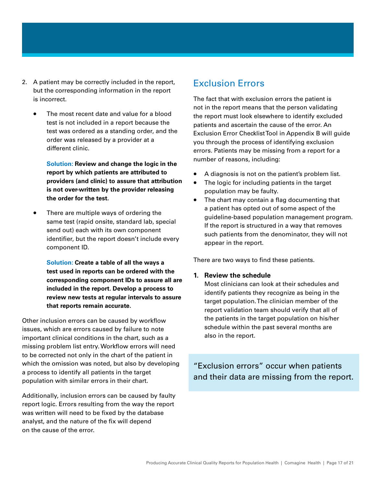- <span id="page-16-0"></span>2. A patient may be correctly included in the report, but the corresponding information in the report is incorrect.
	- The most recent date and value for a blood test is not included in a report because the test was ordered as a standing order, and the order was released by a provider at a different clinic.

**Solution: Review and change the logic in the report by which patients are attributed to providers (and clinic) to assure that attribution is not over-written by the provider releasing the order for the test.**

There are multiple ways of ordering the same test (rapid onsite, standard lab, special send out) each with its own component identifier, but the report doesn't include every component ID.

**Solution: Create a table of all the ways a test used in reports can be ordered with the corresponding component IDs to assure all are included in the report. Develop a process to review new tests at regular intervals to assure that reports remain accurate.** 

Other inclusion errors can be caused by workflow issues, which are errors caused by failure to note important clinical conditions in the chart, such as a missing problem list entry. Workflow errors will need to be corrected not only in the chart of the patient in which the omission was noted, but also by developing a process to identify all patients in the target population with similar errors in their chart.

Additionally, inclusion errors can be caused by faulty report logic. Errors resulting from the way the report was written will need to be fixed by the database analyst, and the nature of the fix will depend on the cause of the error.

# Exclusion Errors

The fact that with exclusion errors the patient is not in the report means that the person validating the report must look elsewhere to identify excluded patients and ascertain the cause of the error. An Exclusion Error Checklist Tool in Appendix B will guide you through the process of identifying exclusion errors. Patients may be missing from a report for a number of reasons, including:

- • A diagnosis is not on the patient's problem list.
- The logic for including patients in the target population may be faulty.
- The chart may contain a flag documenting that a patient has opted out of some aspect of the guideline-based population management program. If the report is structured in a way that removes such patients from the denominator, they will not appear in the report.

There are two ways to find these patients.

#### **1. Review the schedule**

Most clinicians can look at their schedules and identify patients they recognize as being in the target population. The clinician member of the report validation team should verify that all of the patients in the target population on his/her schedule within the past several months are also in the report.

"Exclusion errors" occur when patients and their data are missing from the report.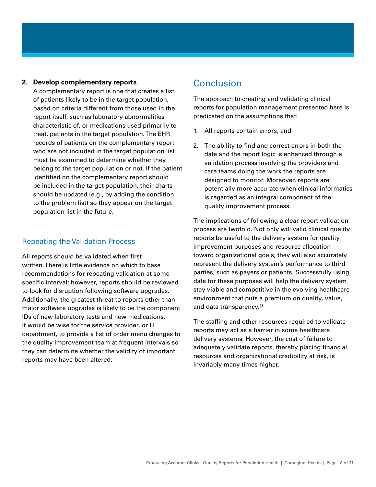#### <span id="page-17-0"></span>**2. Develop complementary reports**

A complementary report is one that creates a list of patients likely to be in the target population, based on criteria different from those used in the report itself, such as laboratory abnormalities characteristic of, or medications used primarily to treat, patients in the target population. The EHR records of patients on the complementary report who are not included in the target population list must be examined to determine whether they belong to the target population or not. If the patient identified on the complementary report should be included in the target population, their charts should be updated (e.g., by adding the condition to the problem list) so they appear on the target population list in the future.

### Repeating the Validation Process

All reports should be validated when first written. There is little evidence on which to base recommendations for repeating validation at some specific interval; however, reports should be reviewed to look for disruption following software upgrades. Additionally, the greatest threat to reports other than major software upgrades is likely to be the component IDs of new laboratory tests and new medications. It would be wise for the service provider, or IT department, to provide a list of order menu changes to the quality improvement team at frequent intervals so they can determine whether the validity of important reports may have been altered.

## **Conclusion**

The approach to creating and validating clinical reports for population management presented here is predicated on the assumptions that:

- 1. All reports contain errors, and
- 2. The ability to find and correct errors in both the data and the report logic is enhanced through a validation process involving the providers and care teams doing the work the reports are designed to monitor. Moreover, reports are potentially more accurate when clinical informatics is regarded as an integral component of the quality improvement process.

The implications of following a clear report validation process are twofold. Not only will valid clinical quality reports be useful to the delivery system for quality improvement purposes and resource allocation toward organizational goals, they will also accurately represent the delivery system's performance to third parties, such as payers or patients. Successfully using data for these purposes will help the delivery system stay viable and competitive in the evolving healthcare environment that puts a premium on quality, value, and data transparency.<sup>13</sup>

The staffing and other resources required to validate reports may act as a barrier in some healthcare delivery systems. However, the cost of failure to adequately validate reports, thereby placing financial resources and organizational credibility at risk, is invariably many times higher.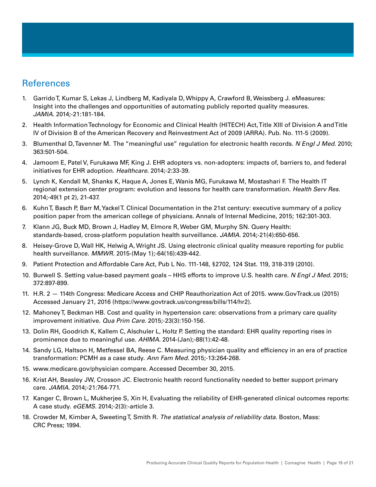# <span id="page-18-0"></span>**References**

- 1. Garrido T, Kumar S, Lekas J, Lindberg M, Kadiyala D, Whippy A, Crawford B, Weissberg J. eMeasures: Insight into the challenges and opportunities of automating publicly reported quality measures. *JAMIA.* 2014;-21:181-184.
- 2. Health Information Technology for Economic and Clinical Health (HITECH) Act, Title XIII of Division A and Title IV of Division B of the American Recovery and Reinvestment Act of 2009 (ARRA). Pub. No. 111-5 (2009).
- 3. Blumenthal D, Tavenner M. The "meaningful use" regulation for electronic health records. *N Engl J Med.* 2010; 363:501-504.
- 4. Jamoom E, Patel V, Furukawa MF, King J. EHR adopters vs. non-adopters: impacts of, barriers to, and federal initiatives for EHR adoption. *Healthcare.* 2014;-2:33-39.
- 5. Lynch K, Kendall M, Shanks K, Haque A, Jones E, Wanis MG, Furukawa M, Mostashari F. The Health IT regional extension center program: evolution and lessons for health care transformation. *Health Serv Res.*  2014;-49(1 pt 2), 21-437.
- 6. Kuhn T, Basch P, Barr M, Yackel T. Clinical Documentation in the 21st century: executive summary of a policy position paper from the american college of physicians. Annals of Internal Medicine, 2015; 162:301-303.
- 7. Klann JG, Buck MD, Brown J, Hadley M, Elmore R, Weber GM, Murphy SN. Query Health: standards-based, cross-platform population health surveillance. *JAMIA.* 2014;-21(4):650-656.
- 8. Heisey-Grove D, Wall HK, Helwig A, Wright JS. Using electronic clinical quality measure reporting for public health surveillance. *MMWR.* 2015-(May 1);-64(16):439-442.
- 9. Patient Protection and Affordable Care Act, Pub L No. 111-148, §2702, 124 Stat. 119, 318-319 (2010).
- 10. Burwell S. Setting value-based payment goals HHS efforts to improve U.S. health care. *N Engl J Med.* 2015; 372:897-899.
- 11. H.R. 2 114th Congress: Medicare Access and CHIP Reauthorization Act of 2015. www.GovTrack.us (2015) Accessed January 21, 2016 (https://www.govtrack.us/congress/bills/114/hr2).
- 12. Mahoney T, Beckman HB. Cost and quality in hypertension care: observations from a primary care quality improvement initiative. *Qua Prim Care.* 2015;-23(3):150-156.
- 13. Dolin RH, Goodrich K, Kallem C, Alschuler L, Holtz P. Setting the standard: EHR quality reporting rises in prominence due to meaningful use. *AHIMA.* 2014-(Jan);-88(1):42-48.
- 14. Sandy LG, Haltson H, Metfessel BA, Reese C. Measuring physician quality and efficiency in an era of practice transformation: PCMH as a case study. *Ann Fam Med.* 2015;-13:264-268.
- 15. www.medicare.gov/physician compare. Accessed December 30, 2015.
- 16. Krist AH, Beasley JW, Crosson JC. Electronic health record functionality needed to better support primary care. *JAMIA.* 2014;-21:764-771.
- 17. Kanger C, Brown L, Mukherjee S, Xin H, Evaluating the reliability of EHR-generated clinical outcomes reports: A case study. *eGEMS.* 2014;-2(3):-article 3.
- 18. Crowder M, Kimber A, Sweeting T, Smith R. *The statistical analysis of reliability data.* Boston, Mass: CRC Press; 1994.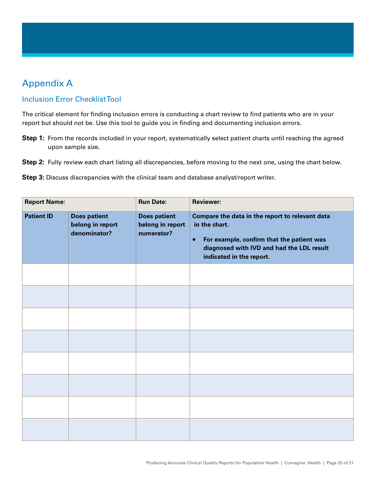# <span id="page-19-0"></span>Appendix A

### Inclusion Error Checklist Tool

The critical element for finding inclusion errors is conducting a chart review to find patients who are in your report but should not be. Use this tool to guide you in finding and documenting inclusion errors.

- **Step 1:** From the records included in your report, systematically select patient charts until reaching the agreed upon sample size.
- **Step 2:** Fully review each chart listing all discrepancies, before moving to the next one, using the chart below.

**Step 3:** Discuss discrepancies with the clinical team and database analyst/report writer.

| <b>Report Name:</b> |                                                         | <b>Run Date:</b>                                      | <b>Reviewer:</b>                                                                                                                                                                                    |
|---------------------|---------------------------------------------------------|-------------------------------------------------------|-----------------------------------------------------------------------------------------------------------------------------------------------------------------------------------------------------|
| <b>Patient ID</b>   | <b>Does patient</b><br>belong in report<br>denominator? | <b>Does patient</b><br>belong in report<br>numerator? | Compare the data in the report to relevant data<br>in the chart.<br>For example, confirm that the patient was<br>$\bullet$<br>diagnosed with IVD and had the LDL result<br>indicated in the report. |
|                     |                                                         |                                                       |                                                                                                                                                                                                     |
|                     |                                                         |                                                       |                                                                                                                                                                                                     |
|                     |                                                         |                                                       |                                                                                                                                                                                                     |
|                     |                                                         |                                                       |                                                                                                                                                                                                     |
|                     |                                                         |                                                       |                                                                                                                                                                                                     |
|                     |                                                         |                                                       |                                                                                                                                                                                                     |
|                     |                                                         |                                                       |                                                                                                                                                                                                     |
|                     |                                                         |                                                       |                                                                                                                                                                                                     |